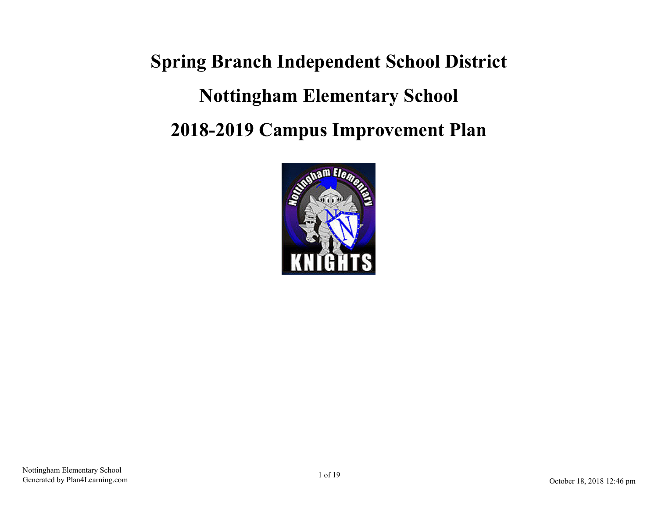# **Spring Branch Independent School District Nottingham Elementary School 2018-2019 Campus Improvement Plan**

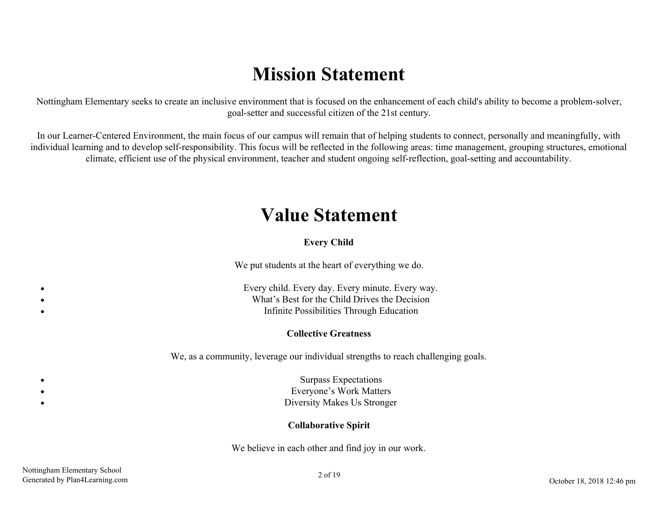# **Mission Statement**

Nottingham Elementary seeks to create an inclusive environment that is focused on the enhancement of each child's ability to become a problem-solver, goal-setter and successful citizen of the 21st century.

In our Learner-Centered Environment, the main focus of our campus will remain that of helping students to connect, personally and meaningfully, with individual learning and to develop self-responsibility. This focus will be reflected in the following areas: time management, grouping structures, emotional climate, efficient use of the physical environment, teacher and student ongoing self-reflection, goal-setting and accountability.

# **Value Statement**

#### **Every Child**

We put students at the heart of everything we do.

Every child. Every day. Every minute. Every way. What's Best for the Child Drives the Decision Infinite Possibilities Through Education

#### **Collective Greatness**

We, as a community, leverage our individual strengths to reach challenging goals.

Surpass Expectations Everyone's Work Matters Diversity Makes Us Stronger

#### **Collaborative Spirit**

We believe in each other and find joy in our work.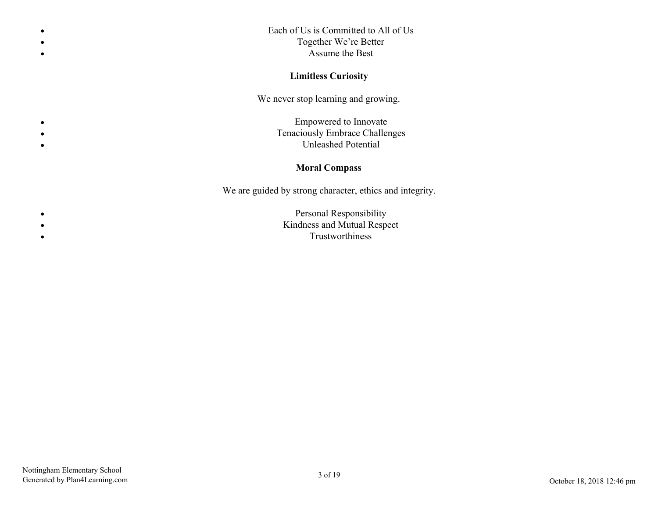Each of Us is Committed to All of Us Together We're Better Assume the Best

#### **Limitless Curiosity**

We never stop learning and growing.

Empowered to Innovate Tenaciously Embrace Challenges Unleashed Potential

#### **Moral Compass**

We are guided by strong character, ethics and integrity.

Personal Responsibility Kindness and Mutual Respect Trustworthiness

 $\bullet$ 

 $\bullet$ 

 $\bullet$ 

 $\bullet$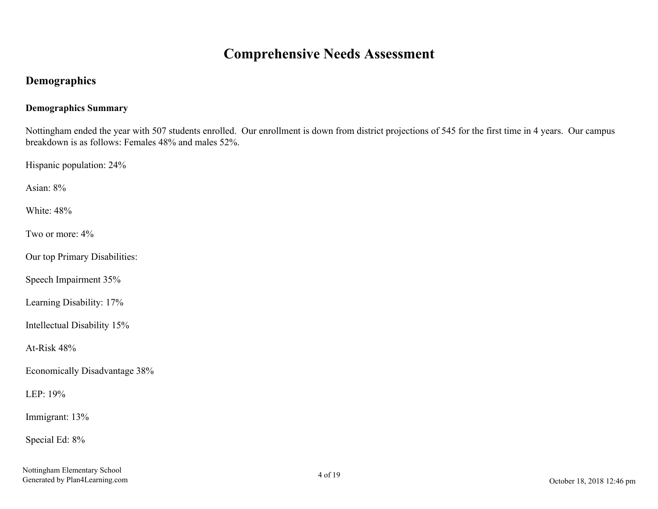# **Comprehensive Needs Assessment**

#### **Demographics**

#### **Demographics Summary**

Nottingham ended the year with 507 students enrolled. Our enrollment is down from district projections of 545 for the first time in 4 years. Our campus breakdown is as follows: Females 48% and males 52%.

Hispanic population: 24%

Asian: 8%

White: 48%

Two or more: 4%

Our top Primary Disabilities:

Speech Impairment 35%

Learning Disability: 17%

Intellectual Disability 15%

At-Risk 48%

Economically Disadvantage 38%

LEP: 19%

Immigrant: 13%

Special Ed: 8%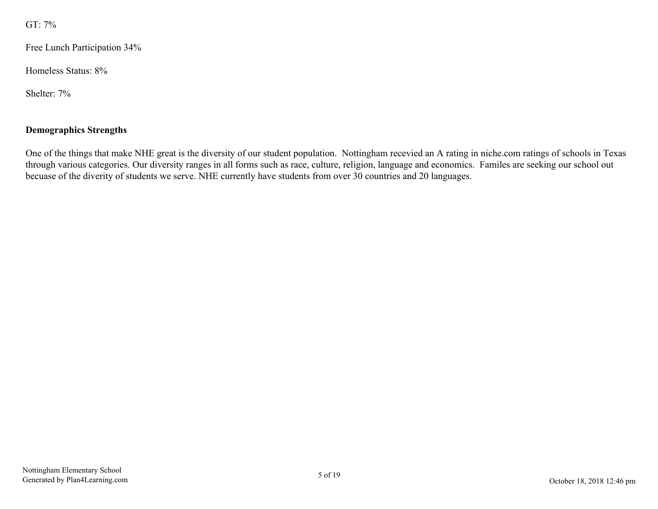GT: 7%

Free Lunch Participation 34%

Homeless Status: 8%

Shelter: 7%

#### **Demographics Strengths**

One of the things that make NHE great is the diversity of our student population. Nottingham recevied an A rating in niche.com ratings of schools in Texas through various categories. Our diversity ranges in all forms such as race, culture, religion, language and economics. Familes are seeking our school out becuase of the diverity of students we serve. NHE currently have students from over 30 countries and 20 languages.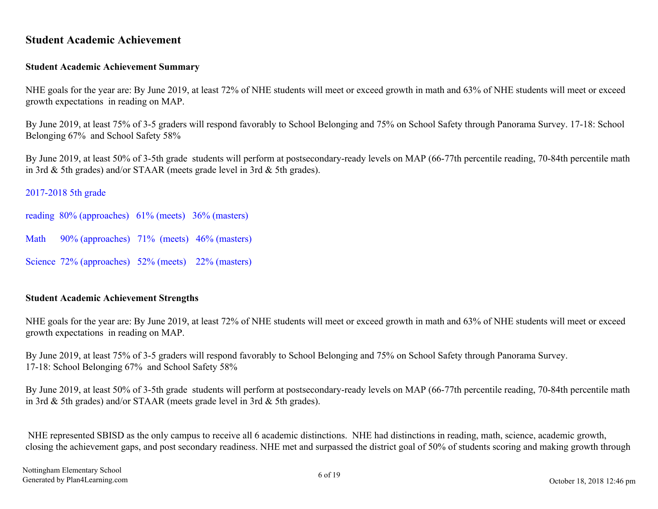#### **Student Academic Achievement**

#### **Student Academic Achievement Summary**

NHE goals for the year are: By June 2019, at least 72% of NHE students will meet or exceed growth in math and 63% of NHE students will meet or exceed growth expectations in reading on MAP.

By June 2019, at least 75% of 3-5 graders will respond favorably to School Belonging and 75% on School Safety through Panorama Survey. 17-18: School Belonging 67% and School Safety 58%

By June 2019, at least 50% of 3-5th grade students will perform at postsecondary-ready levels on MAP (66-77th percentile reading, 70-84th percentile math in 3rd & 5th grades) and/or STAAR (meets grade level in 3rd & 5th grades).

2017-2018 5th grade

reading 80% (approaches) 61% (meets) 36% (masters)

Math 90% (approaches) 71% (meets) 46% (masters)

Science 72% (approaches) 52% (meets) 22% (masters)

#### **Student Academic Achievement Strengths**

NHE goals for the year are: By June 2019, at least 72% of NHE students will meet or exceed growth in math and 63% of NHE students will meet or exceed growth expectations in reading on MAP.

By June 2019, at least 75% of 3-5 graders will respond favorably to School Belonging and 75% on School Safety through Panorama Survey. 17-18: School Belonging 67% and School Safety 58%

By June 2019, at least 50% of 3-5th grade students will perform at postsecondary-ready levels on MAP (66-77th percentile reading, 70-84th percentile math in 3rd & 5th grades) and/or STAAR (meets grade level in 3rd & 5th grades).

 NHE represented SBISD as the only campus to receive all 6 academic distinctions. NHE had distinctions in reading, math, science, academic growth, closing the achievement gaps, and post secondary readiness. NHE met and surpassed the district goal of 50% of students scoring and making growth through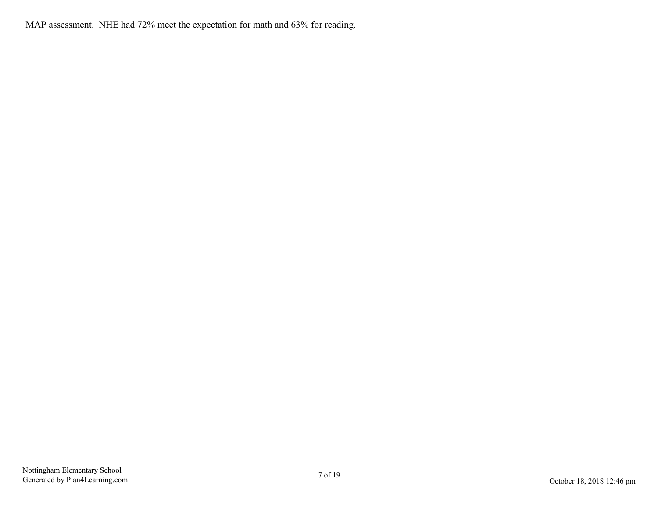MAP assessment. NHE had 72% meet the expectation for math and 63% for reading.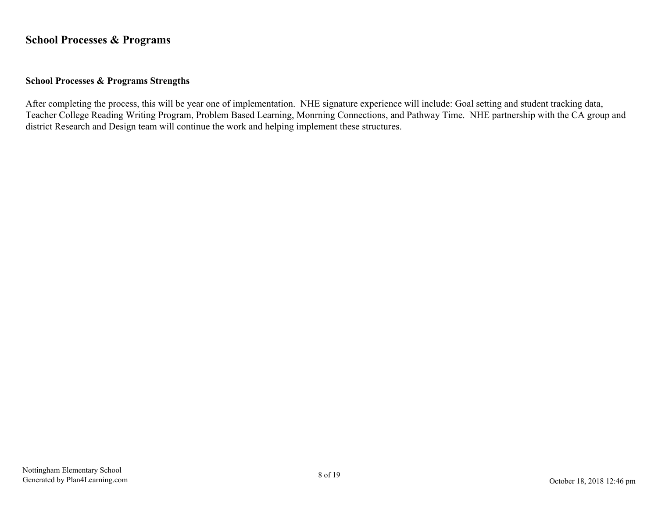#### **School Processes & Programs Strengths**

After completing the process, this will be year one of implementation. NHE signature experience will include: Goal setting and student tracking data, Teacher College Reading Writing Program, Problem Based Learning, Monrning Connections, and Pathway Time. NHE partnership with the CA group and district Research and Design team will continue the work and helping implement these structures.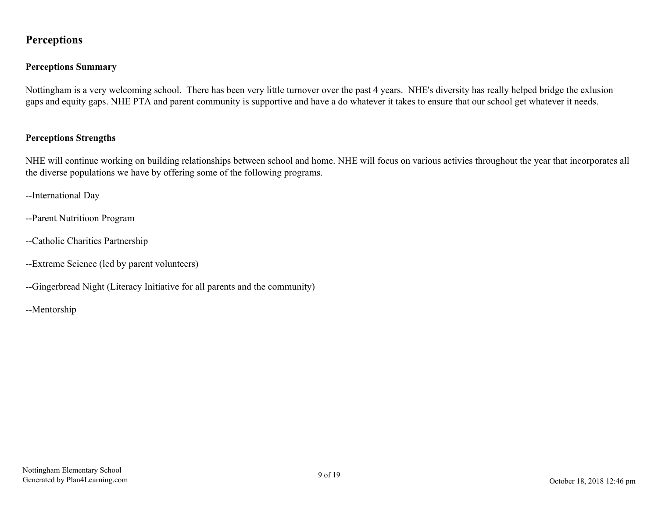#### **Perceptions**

#### **Perceptions Summary**

Nottingham is a very welcoming school. There has been very little turnover over the past 4 years. NHE's diversity has really helped bridge the exlusion gaps and equity gaps. NHE PTA and parent community is supportive and have a do whatever it takes to ensure that our school get whatever it needs.

#### **Perceptions Strengths**

NHE will continue working on building relationships between school and home. NHE will focus on various activies throughout the year that incorporates all the diverse populations we have by offering some of the following programs.

--International Day

- --Parent Nutritioon Program
- --Catholic Charities Partnership
- --Extreme Science (led by parent volunteers)
- --Gingerbread Night (Literacy Initiative for all parents and the community)
- --Mentorship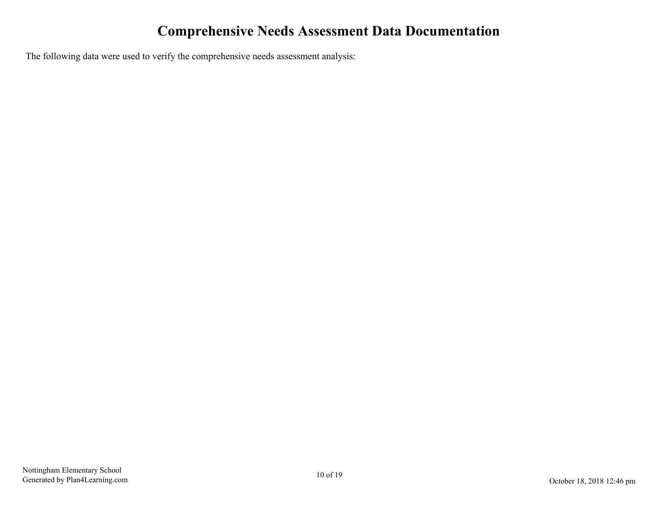# **Comprehensive Needs Assessment Data Documentation**

The following data were used to verify the comprehensive needs assessment analysis: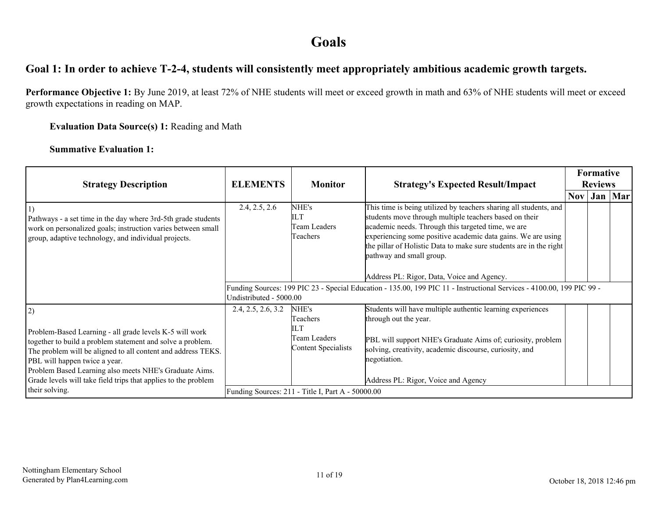## **Goals**

#### **Goal 1: In order to achieve T-2-4, students will consistently meet appropriately ambitious academic growth targets.**

**Performance Objective 1:** By June 2019, at least 72% of NHE students will meet or exceed growth in math and 63% of NHE students will meet or exceed growth expectations in reading on MAP.

**Evaluation Data Source(s) 1:** Reading and Math

| <b>Strategy Description</b>                                                                                                                                                                                                                                                                                                                        | <b>ELEMENTS</b><br><b>Monitor</b> |                                                   | <b>Strategy's Expected Result/Impact</b>                                                                                                                                                                                                                                                                                                                                                          |  | Formative<br><b>Reviews</b> |                       |
|----------------------------------------------------------------------------------------------------------------------------------------------------------------------------------------------------------------------------------------------------------------------------------------------------------------------------------------------------|-----------------------------------|---------------------------------------------------|---------------------------------------------------------------------------------------------------------------------------------------------------------------------------------------------------------------------------------------------------------------------------------------------------------------------------------------------------------------------------------------------------|--|-----------------------------|-----------------------|
|                                                                                                                                                                                                                                                                                                                                                    |                                   |                                                   |                                                                                                                                                                                                                                                                                                                                                                                                   |  |                             | $\text{Nov}$ Jan  Mar |
| Pathways - a set time in the day where 3rd-5th grade students<br>work on personalized goals; instruction varies between small<br>group, adaptive technology, and individual projects.                                                                                                                                                              | 2.4, 2.5, 2.6                     | NHE's<br><b>ILT</b><br>Team Leaders<br>Teachers   | This time is being utilized by teachers sharing all students, and<br>students move through multiple teachers based on their<br>academic needs. Through this targeted time, we are<br>experiencing some positive academic data gains. We are using<br>the pillar of Holistic Data to make sure students are in the right<br>pathway and small group.<br>Address PL: Rigor, Data, Voice and Agency. |  |                             |                       |
|                                                                                                                                                                                                                                                                                                                                                    | Undistributed - 5000.00           |                                                   | Funding Sources: 199 PIC 23 - Special Education - 135.00, 199 PIC 11 - Instructional Services - 4100.00, 199 PIC 99 -                                                                                                                                                                                                                                                                             |  |                             |                       |
| 2)                                                                                                                                                                                                                                                                                                                                                 | 2.4, 2.5, 2.6, 3.2                | NHE's<br>Teachers<br>ПT                           | Students will have multiple authentic learning experiences<br>through out the year.                                                                                                                                                                                                                                                                                                               |  |                             |                       |
| Problem-Based Learning - all grade levels K-5 will work<br>together to build a problem statement and solve a problem.<br>The problem will be aligned to all content and address TEKS.<br>PBL will happen twice a year.<br>Problem Based Learning also meets NHE's Graduate Aims.<br>Grade levels will take field trips that applies to the problem |                                   | <b>Team Leaders</b><br><b>Content Specialists</b> | PBL will support NHE's Graduate Aims of; curiosity, problem<br>solving, creativity, academic discourse, curiosity, and<br>negotiation.<br>Address PL: Rigor, Voice and Agency                                                                                                                                                                                                                     |  |                             |                       |
| their solving.                                                                                                                                                                                                                                                                                                                                     |                                   | Funding Sources: 211 - Title I, Part A - 50000.00 |                                                                                                                                                                                                                                                                                                                                                                                                   |  |                             |                       |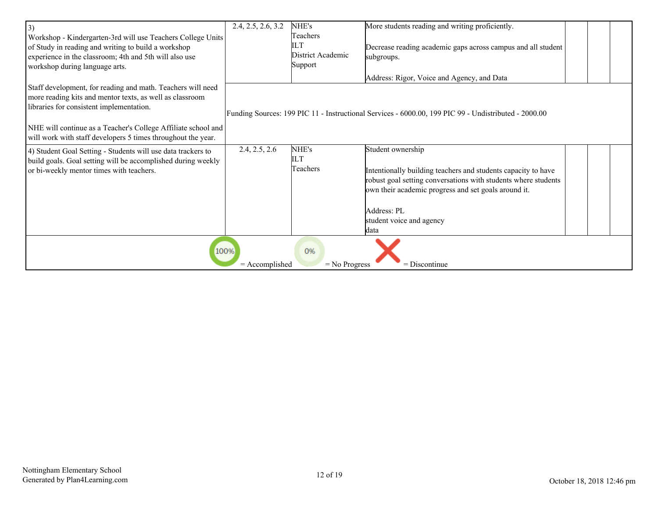| 3)                                                                                                                                                                                                                                                                                                   | 2.4, 2.5, 2.6, 3.2 | NHE's                                           | More students reading and writing proficiently.                                                                                                                                                              |  |  |  |  |  |
|------------------------------------------------------------------------------------------------------------------------------------------------------------------------------------------------------------------------------------------------------------------------------------------------------|--------------------|-------------------------------------------------|--------------------------------------------------------------------------------------------------------------------------------------------------------------------------------------------------------------|--|--|--|--|--|
| Workshop - Kindergarten-3rd will use Teachers College Units<br>of Study in reading and writing to build a workshop<br>experience in the classroom; 4th and 5th will also use<br>workshop during language arts.                                                                                       |                    | Teachers<br>ILТ<br>District Academic<br>Support | Decrease reading academic gaps across campus and all student<br>subgroups.                                                                                                                                   |  |  |  |  |  |
| Staff development, for reading and math. Teachers will need<br>more reading kits and mentor texts, as well as classroom<br>libraries for consistent implementation.<br>NHE will continue as a Teacher's College Affiliate school and<br>will work with staff developers 5 times throughout the year. |                    |                                                 | Address: Rigor, Voice and Agency, and Data<br>Funding Sources: 199 PIC 11 - Instructional Services - 6000.00, 199 PIC 99 - Undistributed - 2000.00                                                           |  |  |  |  |  |
| 4) Student Goal Setting - Students will use data trackers to<br>build goals. Goal setting will be accomplished during weekly<br>or bi-weekly mentor times with teachers.                                                                                                                             | 2.4, 2.5, 2.6      | NHE's<br><b>ILT</b><br>Teachers                 | Student ownership<br>Intentionally building teachers and students capacity to have<br>robust goal setting conversations with students where students<br>own their academic progress and set goals around it. |  |  |  |  |  |
|                                                                                                                                                                                                                                                                                                      |                    |                                                 | Address: PL<br>student voice and agency<br>data                                                                                                                                                              |  |  |  |  |  |
| 100%<br>0%<br>$=$ Accomplished<br>$=$ No Progress<br>$=$ Discontinue                                                                                                                                                                                                                                 |                    |                                                 |                                                                                                                                                                                                              |  |  |  |  |  |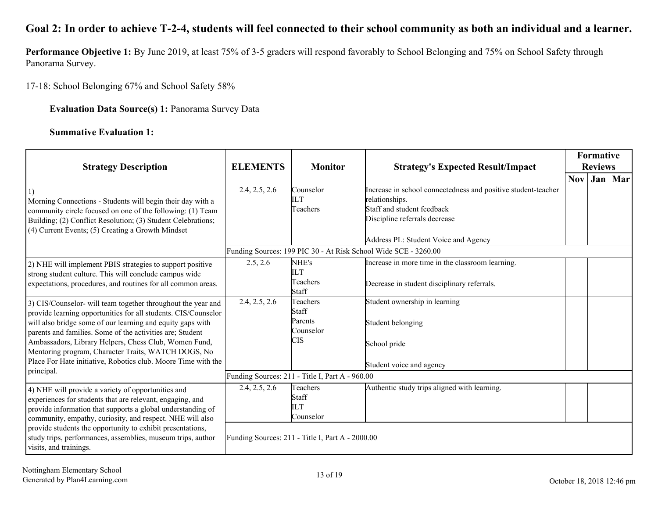#### **Goal 2: In order to achieve T-2-4, students will feel connected to their school community as both an individual and a learner.**

**Performance Objective 1:** By June 2019, at least 75% of 3-5 graders will respond favorably to School Belonging and 75% on School Safety through Panorama Survey.

17-18: School Belonging 67% and School Safety 58%

**Evaluation Data Source(s) 1:** Panorama Survey Data

| <b>Strategy Description</b>                                                                                                                                                                                                                                                                                                                                                                                                                |               | <b>ELEMENTS</b><br><b>Monitor</b><br><b>Strategy's Expected Result/Impact</b> |                                                                                                                                                                                        | Formative<br><b>Reviews</b> |  |           |
|--------------------------------------------------------------------------------------------------------------------------------------------------------------------------------------------------------------------------------------------------------------------------------------------------------------------------------------------------------------------------------------------------------------------------------------------|---------------|-------------------------------------------------------------------------------|----------------------------------------------------------------------------------------------------------------------------------------------------------------------------------------|-----------------------------|--|-----------|
|                                                                                                                                                                                                                                                                                                                                                                                                                                            |               |                                                                               |                                                                                                                                                                                        | <b>Nov</b>                  |  | Jan   Mar |
| 1)<br>Morning Connections - Students will begin their day with a<br>community circle focused on one of the following: (1) Team<br>Building; (2) Conflict Resolution; (3) Student Celebrations;<br>(4) Current Events; (5) Creating a Growth Mindset                                                                                                                                                                                        | 2.4, 2.5, 2.6 | Counselor<br>II Т<br>Teachers                                                 | Increase in school connectedness and positive student-teacher<br>relationships.<br>Staff and student feedback<br>Discipline referrals decrease<br>Address PL: Student Voice and Agency |                             |  |           |
|                                                                                                                                                                                                                                                                                                                                                                                                                                            |               |                                                                               | Funding Sources: 199 PIC 30 - At Risk School Wide SCE - 3260.00                                                                                                                        |                             |  |           |
| 2) NHE will implement PBIS strategies to support positive<br>strong student culture. This will conclude campus wide<br>expectations, procedures, and routines for all common areas.                                                                                                                                                                                                                                                        | 2.5, 2.6      | NHE's<br><b>ILT</b><br>Teachers<br>Staff                                      | Increase in more time in the classroom learning.<br>Decrease in student disciplinary referrals.                                                                                        |                             |  |           |
| 3) CIS/Counselor- will team together throughout the year and<br>provide learning opportunities for all students. CIS/Counselor<br>will also bridge some of our learning and equity gaps with<br>parents and families. Some of the activities are; Student<br>Ambassadors, Library Helpers, Chess Club, Women Fund,<br>Mentoring program, Character Traits, WATCH DOGS, No<br>Place For Hate initiative, Robotics club. Moore Time with the | 2.4, 2.5, 2.6 | Teachers<br>Staff<br>Parents<br>Counselor<br><b>CIS</b>                       | Student ownership in learning<br>Student belonging<br>School pride<br>Student voice and agency                                                                                         |                             |  |           |
| principal.                                                                                                                                                                                                                                                                                                                                                                                                                                 |               | Funding Sources: 211 - Title I, Part A - 960.00                               |                                                                                                                                                                                        |                             |  |           |
| 4) NHE will provide a variety of opportunities and<br>experiences for students that are relevant, engaging, and<br>provide information that supports a global understanding of<br>community, empathy, curiosity, and respect. NHE will also                                                                                                                                                                                                | 2.4, 2.5, 2.6 | Teachers<br>Staff<br><b>ILT</b><br>Counselor                                  | Authentic study trips aligned with learning.                                                                                                                                           |                             |  |           |
| provide students the opportunity to exhibit presentations,<br>study trips, performances, assemblies, museum trips, author<br>visits, and trainings.                                                                                                                                                                                                                                                                                        |               | Funding Sources: 211 - Title I, Part A - 2000.00                              |                                                                                                                                                                                        |                             |  |           |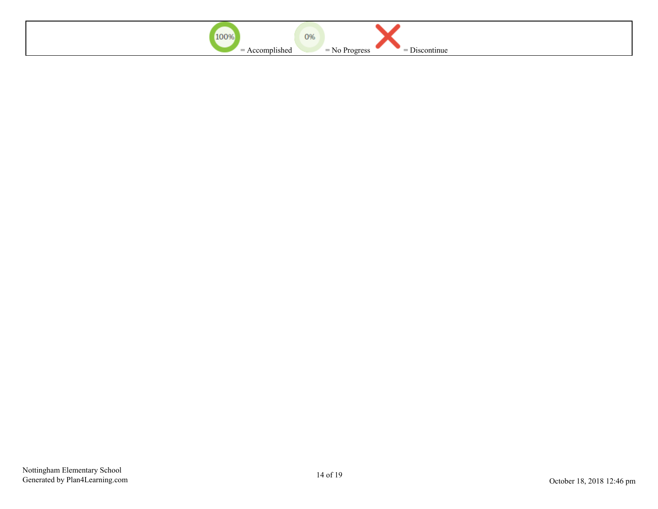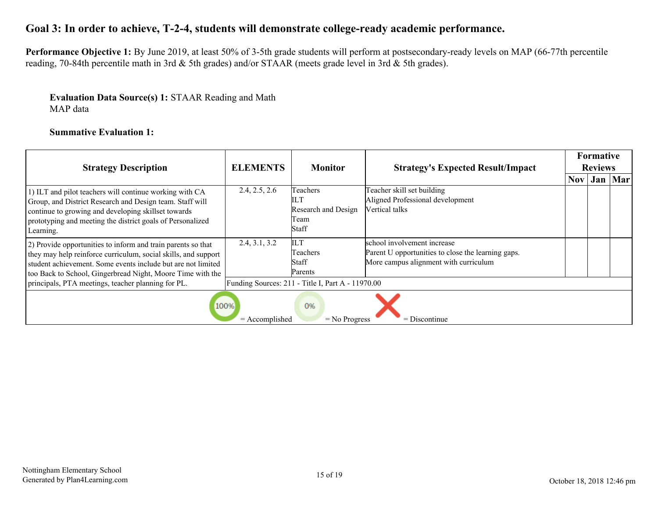#### **Goal 3: In order to achieve, T-2-4, students will demonstrate college-ready academic performance.**

**Performance Objective 1:** By June 2019, at least 50% of 3-5th grade students will perform at postsecondary-ready levels on MAP (66-77th percentile reading, 70-84th percentile math in 3rd & 5th grades) and/or STAAR (meets grade level in 3rd & 5th grades).

#### **Evaluation Data Source(s) 1:** STAAR Reading and Math MAP data

| <b>Strategy Description</b>                                                                                                                                                                                                                                  | <b>ELEMENTS</b>          | <b>Strategy's Expected Result/Impact</b><br><b>Monitor</b>                 |                                                                                                                            | Formative<br><b>Reviews</b> |  |           |
|--------------------------------------------------------------------------------------------------------------------------------------------------------------------------------------------------------------------------------------------------------------|--------------------------|----------------------------------------------------------------------------|----------------------------------------------------------------------------------------------------------------------------|-----------------------------|--|-----------|
| 1) ILT and pilot teachers will continue working with CA<br>Group, and District Research and Design team. Staff will<br>continue to growing and developing skillset towards<br>prototyping and meeting the district goals of Personalized<br>Learning.        | 2.4, 2.5, 2.6            | Teachers<br>ILT<br>Research and Design<br>Team<br>Staff                    | Teacher skill set building<br>Aligned Professional development<br>Vertical talks                                           | <b>Nov</b>                  |  | Jan   Mar |
| 2) Provide opportunities to inform and train parents so that<br>they may help reinforce curriculum, social skills, and support<br>student achievement. Some events include but are not limited<br>too Back to School, Gingerbread Night, Moore Time with the | 2.4, 3.1, 3.2            | <b>ILT</b><br>Teachers<br><b>Staff</b><br>Parents                          | school involvement increase<br>Parent U opportunities to close the learning gaps.<br>More campus alignment with curriculum |                             |  |           |
| principals, PTA meetings, teacher planning for PL.                                                                                                                                                                                                           | 100%<br>$=$ Accomplished | Funding Sources: 211 - Title I, Part A - 11970.00<br>0%<br>$=$ No Progress | $=$ Discontinue                                                                                                            |                             |  |           |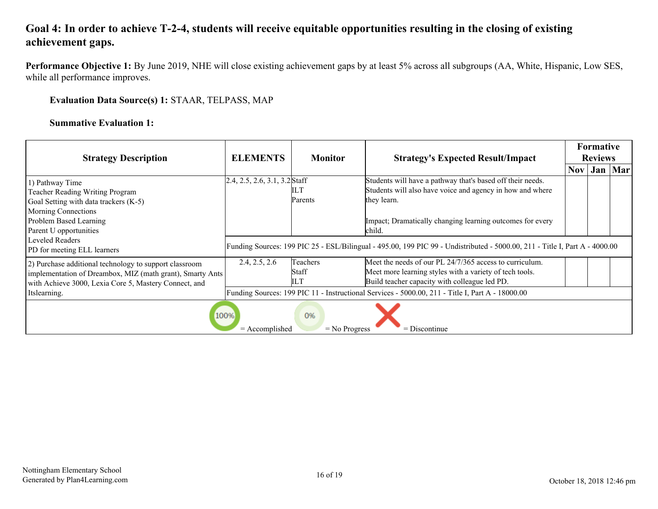### **Goal 4: In order to achieve T-2-4, students will receive equitable opportunities resulting in the closing of existing achievement gaps.**

**Performance Objective 1:** By June 2019, NHE will close existing achievement gaps by at least 5% across all subgroups (AA, White, Hispanic, Low SES, while all performance improves.

#### **Evaluation Data Source(s) 1:** STAAR, TELPASS, MAP

| <b>Strategy Description</b>                                                                                                                                                  | <b>ELEMENTS</b>                   | <b>Monitor</b>           | <b>Strategy's Expected Result/Impact</b>                                                                                                                            |            | Formative<br><b>Reviews</b> |           |
|------------------------------------------------------------------------------------------------------------------------------------------------------------------------------|-----------------------------------|--------------------------|---------------------------------------------------------------------------------------------------------------------------------------------------------------------|------------|-----------------------------|-----------|
|                                                                                                                                                                              |                                   |                          |                                                                                                                                                                     | <b>Nov</b> |                             | Jan   Mar |
| 1) Pathway Time<br>Teacher Reading Writing Program<br>Goal Setting with data trackers (K-5)<br>Morning Connections                                                           | $[2.4, 2.5, 2.6, 3.1, 3.2]$ Staff | ILТ<br>Parents           | Students will have a pathway that's based off their needs.<br>Students will also have voice and agency in how and where<br>they learn.                              |            |                             |           |
| Problem Based Learning<br>Parent U opportunities                                                                                                                             |                                   |                          | Impact; Dramatically changing learning outcomes for every<br>child.                                                                                                 |            |                             |           |
| Leveled Readers<br>PD for meeting ELL learners                                                                                                                               |                                   |                          | Funding Sources: 199 PIC 25 - ESL/Bilingual - 495.00, 199 PIC 99 - Undistributed - 5000.00, 211 - Title I, Part A - 4000.00                                         |            |                             |           |
| 2) Purchase additional technology to support classroom<br>implementation of Dreambox, MIZ (math grant), Smarty Ants<br>with Achieve 3000, Lexia Core 5, Mastery Connect, and | 2.4, 2.5, 2.6                     | Teachers<br>Staff<br>ILT | Meet the needs of our PL 24/7/365 access to curriculum.<br>Meet more learning styles with a variety of tech tools.<br>Build teacher capacity with colleague led PD. |            |                             |           |
| Itslearning.                                                                                                                                                                 |                                   |                          | Funding Sources: 199 PIC 11 - Instructional Services - 5000.00, 211 - Title I, Part A - 18000.00                                                                    |            |                             |           |
|                                                                                                                                                                              | 100%<br>$=$ Accomplished          | 0%<br>$=$ No Progress    | $=$ Discontinue                                                                                                                                                     |            |                             |           |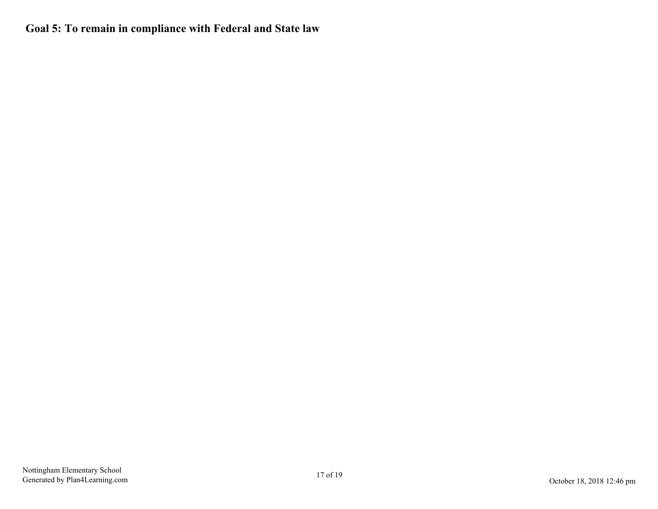### **Goal 5: To remain in compliance with Federal and State law**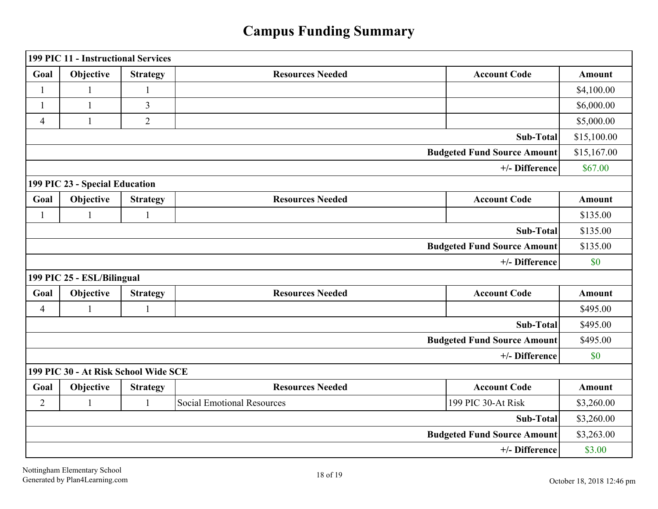# **Campus Funding Summary**

|                | <b>199 PIC 11 - Instructional Services</b> |                 |                                   |                                    |               |
|----------------|--------------------------------------------|-----------------|-----------------------------------|------------------------------------|---------------|
| Goal           | Objective                                  | <b>Strategy</b> | <b>Resources Needed</b>           | <b>Account Code</b>                | <b>Amount</b> |
| $\mathbf{1}$   |                                            |                 |                                   |                                    | \$4,100.00    |
| 1              | 1                                          | $\overline{3}$  |                                   |                                    | \$6,000.00    |
| $\overline{4}$ | $\mathbf{1}$                               | $\overline{2}$  |                                   |                                    | \$5,000.00    |
|                |                                            |                 |                                   | Sub-Total                          | \$15,100.00   |
|                |                                            |                 |                                   | <b>Budgeted Fund Source Amount</b> | \$15,167.00   |
|                |                                            |                 |                                   | +/- Difference                     | \$67.00       |
|                | 199 PIC 23 - Special Education             |                 |                                   |                                    |               |
| Goal           | Objective                                  | <b>Strategy</b> | <b>Resources Needed</b>           | <b>Account Code</b>                | <b>Amount</b> |
| 1              | 1                                          | 1               |                                   |                                    | \$135.00      |
|                |                                            |                 |                                   | Sub-Total                          | \$135.00      |
|                |                                            |                 |                                   | <b>Budgeted Fund Source Amount</b> | \$135.00      |
|                |                                            |                 |                                   | +/- Difference                     | \$0           |
|                | 199 PIC 25 - ESL/Bilingual                 |                 |                                   |                                    |               |
| Goal           | Objective                                  | <b>Strategy</b> | <b>Resources Needed</b>           | <b>Account Code</b>                | <b>Amount</b> |
| $\overline{4}$ |                                            |                 |                                   |                                    | \$495.00      |
|                |                                            |                 |                                   | Sub-Total                          | \$495.00      |
|                |                                            |                 |                                   | <b>Budgeted Fund Source Amount</b> | \$495.00      |
|                |                                            |                 |                                   | +/- Difference                     | \$0           |
|                | 199 PIC 30 - At Risk School Wide SCE       |                 |                                   |                                    |               |
| Goal           | Objective                                  | <b>Strategy</b> | <b>Resources Needed</b>           | <b>Account Code</b>                | <b>Amount</b> |
| $\overline{2}$ | $\mathbf{1}$                               | 1               | <b>Social Emotional Resources</b> | 199 PIC 30-At Risk                 | \$3,260.00    |
|                |                                            |                 |                                   | <b>Sub-Total</b>                   | \$3,260.00    |
|                |                                            |                 |                                   | <b>Budgeted Fund Source Amount</b> | \$3,263.00    |
|                |                                            |                 |                                   | +/- Difference                     | \$3.00        |